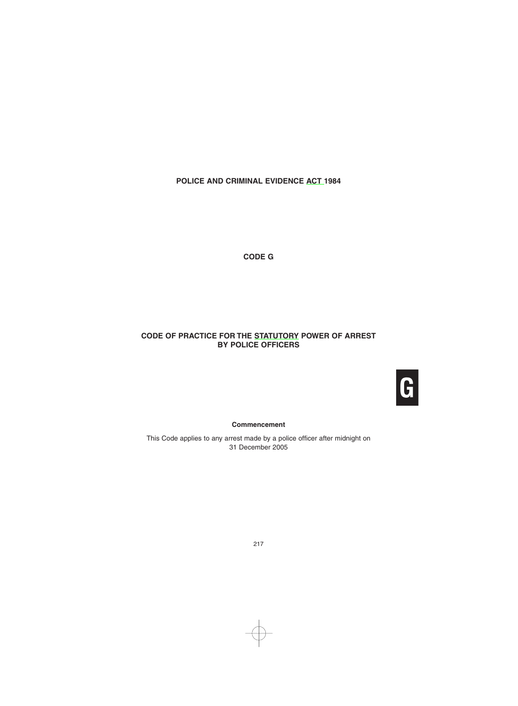**POLICE AND CRIMINAL EVIDENCE ACT 1984**

**CODE G**

# **CODE OF PRACTICE FOR THE STATUTORY POWER OF ARREST BY POLICE OFFICERS**

# **Commencement**

This Code applies to any arrest made by a police officer after midnight on 31 December 2005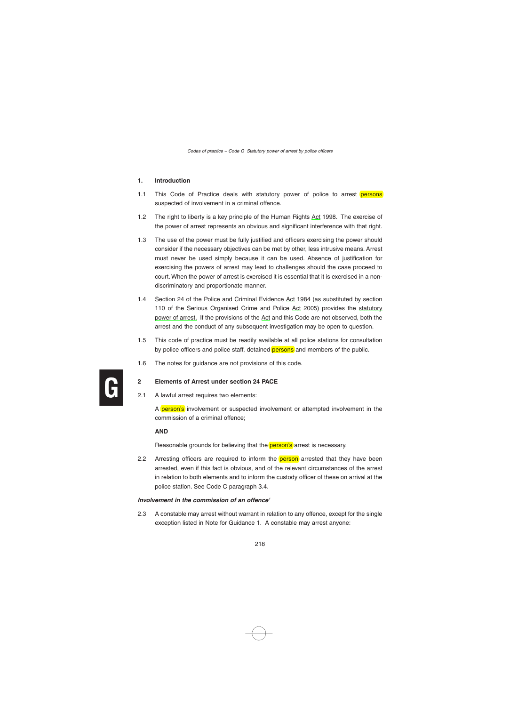#### **1. Introduction**

- 1.1 This Code of Practice deals with statutory power of police to arrest **persons** suspected of involvement in a criminal offence.
- 1.2 The right to liberty is a key principle of the Human Rights Act 1998. The exercise of the power of arrest represents an obvious and significant interference with that right.
- 1.3 The use of the power must be fully justified and officers exercising the power should consider if the necessary objectives can be met by other, less intrusive means. Arrest must never be used simply because it can be used. Absence of justification for exercising the powers of arrest may lead to challenges should the case proceed to court. When the power of arrest is exercised it is essential that it is exercised in a nondiscriminatory and proportionate manner.
- 1.4 Section 24 of the Police and Criminal Evidence Act 1984 (as substituted by section 110 of the Serious Organised Crime and Police Act 2005) provides the statutory power of arrest. If the provisions of the Act and this Code are not observed, both the arrest and the conduct of any subsequent investigation may be open to question.
- 1.5 This code of practice must be readily available at all police stations for consultation by police officers and police staff, detained **persons** and members of the public.
- 1.6 The notes for guidance are not provisions of this code.

# **2 Elements of Arrest under section 24 PACE**

2.1 A lawful arrest requires two elements:

A **person's** involvement or suspected involvement or attempted involvement in the commission of a criminal offence;

#### **AND**

Reasonable grounds for believing that the **person's** arrest is necessary.

2.2 Arresting officers are required to inform the **person** arrested that they have been arrested, even if this fact is obvious, and of the relevant circumstances of the arrest in relation to both elements and to inform the custody officer of these on arrival at the police station. See Code C paragraph 3.4.

#### *Involvement in the commission of an offence'*

2.3 A constable may arrest without warrant in relation to any offence, except for the single exception listed in Note for Guidance 1. A constable may arrest anyone: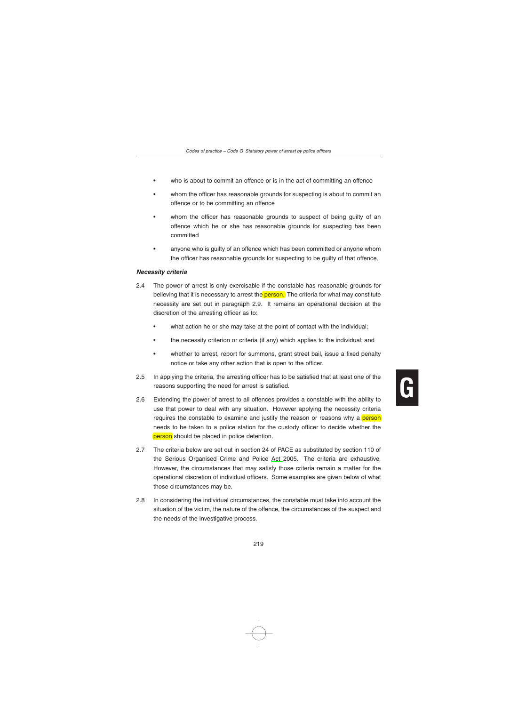- who is about to commit an offence or is in the act of committing an offence
- whom the officer has reasonable grounds for suspecting is about to commit an offence or to be committing an offence
- whom the officer has reasonable grounds to suspect of being guilty of an offence which he or she has reasonable grounds for suspecting has been committed
- anyone who is guilty of an offence which has been committed or anyone whom the officer has reasonable grounds for suspecting to be guilty of that offence.

### *Necessity criteria*

- 2.4 The power of arrest is only exercisable if the constable has reasonable grounds for believing that it is necessary to arrest the **person.** The criteria for what may constitute necessity are set out in paragraph 2.9. It remains an operational decision at the discretion of the arresting officer as to:
	- what action he or she may take at the point of contact with the individual:
	- the necessity criterion or criteria (if any) which applies to the individual; and
	- whether to arrest, report for summons, grant street bail, issue a fixed penalty notice or take any other action that is open to the officer.
- 2.5 In applying the criteria, the arresting officer has to be satisfied that at least one of the reasons supporting the need for arrest is satisfied.
- 2.6 Extending the power of arrest to all offences provides a constable with the ability to use that power to deal with any situation. However applying the necessity criteria requires the constable to examine and justify the reason or reasons why a **person** needs to be taken to a police station for the custody officer to decide whether the person should be placed in police detention.
- 2.7 The criteria below are set out in section 24 of PACE as substituted by section 110 of the Serious Organised Crime and Police Act 2005. The criteria are exhaustive. However, the circumstances that may satisfy those criteria remain a matter for the operational discretion of individual officers. Some examples are given below of what those circumstances may be.
- 2.8 In considering the individual circumstances, the constable must take into account the situation of the victim, the nature of the offence, the circumstances of the suspect and the needs of the investigative process.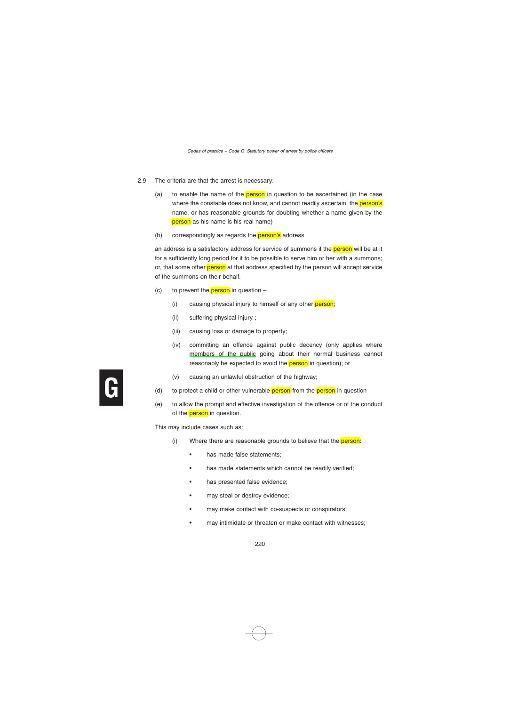- 2.9 The criteria are that the arrest is necessary:
	- (a) to enable the name of the **person** in question to be ascertained (in the case where the constable does not know, and cannot readily ascertain, the **person's** name, or has reasonable grounds for doubting whether a name given by the person as his name is his real name)
	- (b) correspondingly as regards the **person's** address

an address is a satisfactory address for service of summons if the **person** will be at it for a sufficiently long period for it to be possible to serve him or her with a summons; or, that some other **person** at that address specified by the person will accept service of the summons on their behalf.

- (c) to prevent the **person** in question
	- (i) causing physical injury to himself or any other  $person;$
	- (ii) suffering physical injury ;
	- (iii) causing loss or damage to property;
	- (iv) committing an offence against public decency (only applies where members of the public going about their normal business cannot reasonably be expected to avoid the **person** in question); or
	- (v) causing an unlawful obstruction of the highway;
- (d) to protect a child or other vulnerable **person** from the **person** in question
- (e) to allow the prompt and effective investigation of the offence or of the conduct of the **person** in question.

This may include cases such as:

- (i) Where there are reasonable grounds to believe that the **person:** 
	- has made false statements:
	- has made statements which cannot be readily verified:
	- has presented false evidence;
	- may steal or destroy evidence;
	- may make contact with co-suspects or conspirators;
	- may intimidate or threaten or make contact with witnesses;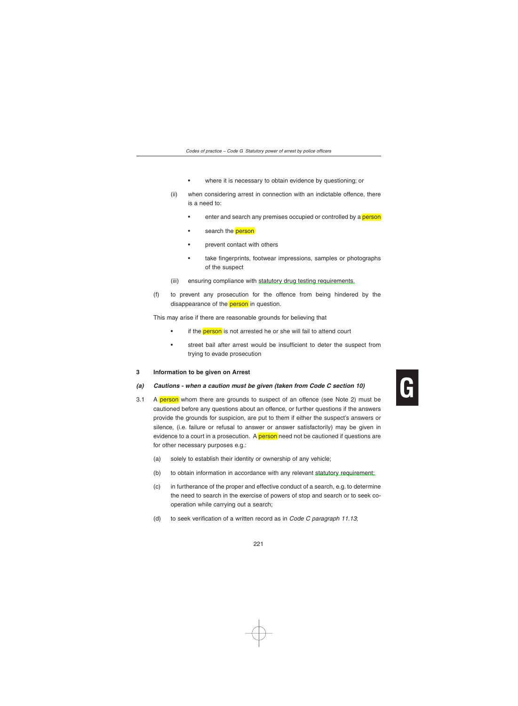- where it is necessary to obtain evidence by questioning; or
- (ii) when considering arrest in connection with an indictable offence, there is a need to:
	- enter and search any premises occupied or controlled by a **person**
	- search the **person**
	- prevent contact with others
	- take fingerprints, footwear impressions, samples or photographs of the suspect
- (iii) ensuring compliance with statutory drug testing requirements.
- (f) to prevent any prosecution for the offence from being hindered by the disappearance of the **person** in question.

This may arise if there are reasonable grounds for believing that

- if the **person** is not arrested he or she will fail to attend court
- street bail after arrest would be insufficient to deter the suspect from trying to evade prosecution

**G**

### **3 Information to be given on Arrest**

### *(a) Cautions - when a caution must be given (taken from Code C section 10)*

- 3.1 A person whom there are grounds to suspect of an offence (see Note 2) must be cautioned before any questions about an offence, or further questions if the answers provide the grounds for suspicion, are put to them if either the suspect's answers or silence, (i.e. failure or refusal to answer or answer satisfactorily) may be given in evidence to a court in a prosecution. A person need not be cautioned if questions are for other necessary purposes e.g.:
	- (a) solely to establish their identity or ownership of any vehicle;
	- (b) to obtain information in accordance with any relevant statutory requirement;
	- (c) in furtherance of the proper and effective conduct of a search, e.g. to determine the need to search in the exercise of powers of stop and search or to seek cooperation while carrying out a search;
	- (d) to seek verification of a written record as in *Code C paragraph 11.13*;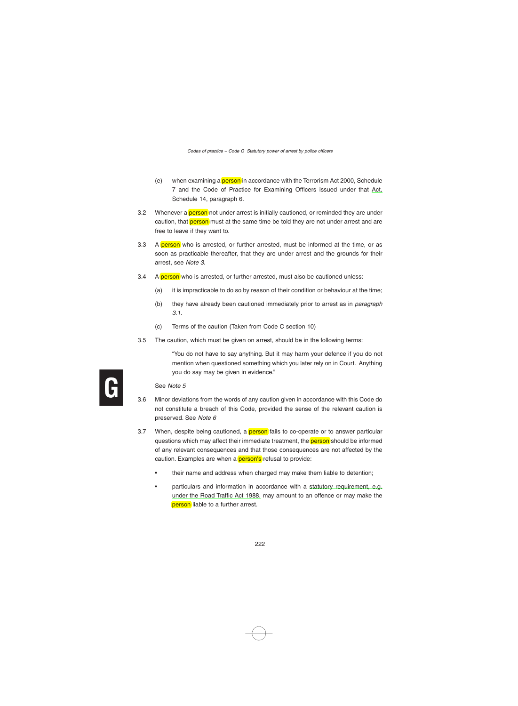- (e) when examining a **person** in accordance with the Terrorism Act 2000, Schedule 7 and the Code of Practice for Examining Officers issued under that Act, Schedule 14, paragraph 6.
- 3.2 Whenever a **person** not under arrest is initially cautioned, or reminded they are under caution, that **person** must at the same time be told they are not under arrest and are free to leave if they want to.
- 3.3 A **person** who is arrested, or further arrested, must be informed at the time, or as soon as practicable thereafter, that they are under arrest and the grounds for their arrest, see *Note 3*.
- 3.4 A **person** who is arrested, or further arrested, must also be cautioned unless:
	- (a) it is impracticable to do so by reason of their condition or behaviour at the time;
	- (b) they have already been cautioned immediately prior to arrest as in *paragraph 3.1.*
	- (c) Terms of the caution (Taken from Code C section 10)
- 3.5 The caution, which must be given on arrest, should be in the following terms:

"You do not have to say anything. But it may harm your defence if you do not mention when questioned something which you later rely on in Court. Anything you do say may be given in evidence."

### See *Note 5*

- 3.6 Minor deviations from the words of any caution given in accordance with this Code do not constitute a breach of this Code, provided the sense of the relevant caution is preserved. See *Note 6*
- 3.7 When, despite being cautioned, a **person** fails to co-operate or to answer particular questions which may affect their immediate treatment, the **person** should be informed of any relevant consequences and that those consequences are not affected by the caution. Examples are when a **person's** refusal to provide:
	- their name and address when charged may make them liable to detention;
	- particulars and information in accordance with a statutory requirement, e.g. under the Road Traffic Act 1988, may amount to an offence or may make the person liable to a further arrest.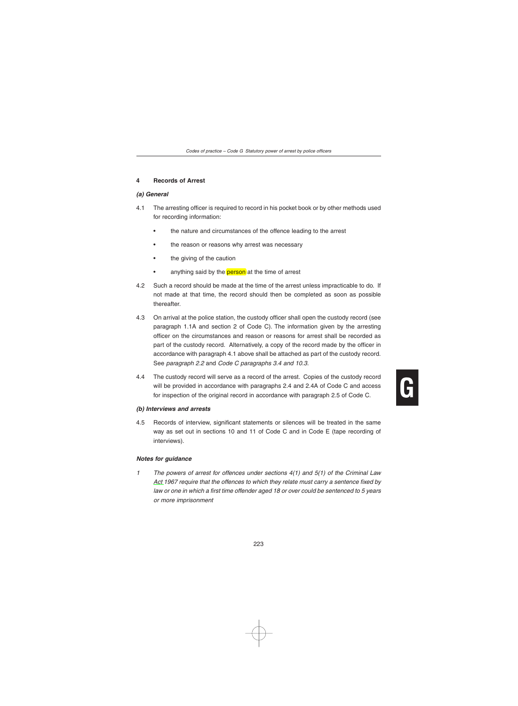## **4 Records of Arrest**

## *(a) General*

- 4.1 The arresting officer is required to record in his pocket book or by other methods used for recording information:
	- the nature and circumstances of the offence leading to the arrest
	- the reason or reasons why arrest was necessary
	- the giving of the caution
	- anything said by the **person** at the time of arrest
- 4.2 Such a record should be made at the time of the arrest unless impracticable to do. If not made at that time, the record should then be completed as soon as possible thereafter.
- 4.3 On arrival at the police station, the custody officer shall open the custody record (see paragraph 1.1A and section 2 of Code C). The information given by the arresting officer on the circumstances and reason or reasons for arrest shall be recorded as part of the custody record. Alternatively, a copy of the record made by the officer in accordance with paragraph 4.1 above shall be attached as part of the custody record. See *paragraph 2.2* and *Code C paragraphs 3.4 and 10.3.*
- 4.4 The custody record will serve as a record of the arrest. Copies of the custody record will be provided in accordance with paragraphs 2.4 and 2.4A of Code C and access for inspection of the original record in accordance with paragraph 2.5 of Code C.

### *(b) Interviews and arrests*

4.5 Records of interview, significant statements or silences will be treated in the same way as set out in sections 10 and 11 of Code C and in Code E (tape recording of interviews).

### *Notes for guidance*

*1 The powers of arrest for offences under sections 4(1) and 5(1) of the Criminal Law Act 1967 require that the offences to which they relate must carry a sentence fixed by law or one in which a first time offender aged 18 or over could be sentenced to 5 years or more imprisonment*